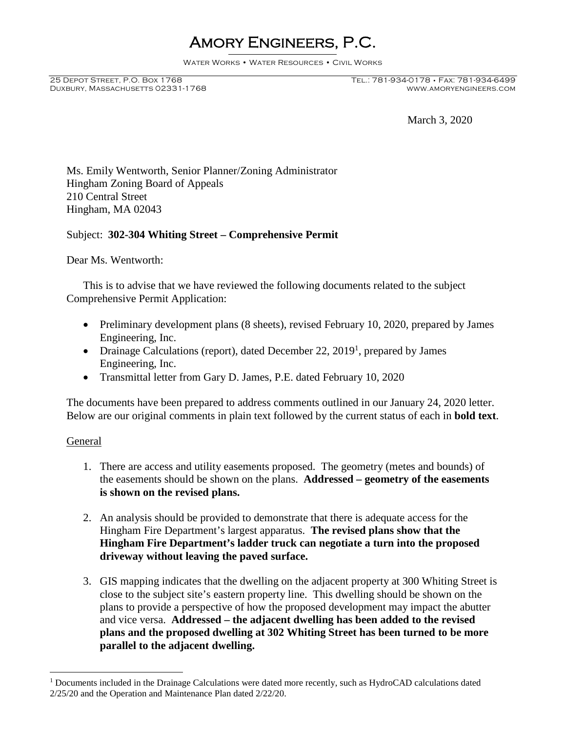# Amory Engineers, P.C.

Water Works • Water Resources • Civil Works

DUXBURY, MASSACHUSETTS 02331-1768

March 3, 2020

Ms. Emily Wentworth, Senior Planner/Zoning Administrator Hingham Zoning Board of Appeals 210 Central Street Hingham, MA 02043

# Subject: **302-304 Whiting Street – Comprehensive Permit**

Dear Ms. Wentworth:

This is to advise that we have reviewed the following documents related to the subject Comprehensive Permit Application:

- Preliminary development plans (8 sheets), revised February 10, 2020, prepared by James Engineering, Inc.
- Drainage Calculations (report), dated December 22, 2019<sup>1</sup>, prepared by James Engineering, Inc.
- Transmittal letter from Gary D. James, P.E. dated February 10, 2020

The documents have been prepared to address comments outlined in our January 24, 2020 letter. Below are our original comments in plain text followed by the current status of each in **bold text**.

## General

- 1. There are access and utility easements proposed. The geometry (metes and bounds) of the easements should be shown on the plans. **Addressed – geometry of the easements is shown on the revised plans.**
- 2. An analysis should be provided to demonstrate that there is adequate access for the Hingham Fire Department's largest apparatus. **The revised plans show that the Hingham Fire Department's ladder truck can negotiate a turn into the proposed driveway without leaving the paved surface.**
- 3. GIS mapping indicates that the dwelling on the adjacent property at 300 Whiting Street is close to the subject site's eastern property line. This dwelling should be shown on the plans to provide a perspective of how the proposed development may impact the abutter and vice versa. **Addressed – the adjacent dwelling has been added to the revised plans and the proposed dwelling at 302 Whiting Street has been turned to be more parallel to the adjacent dwelling.**

 $1$  Documents included in the Drainage Calculations were dated more recently, such as HydroCAD calculations dated 2/25/20 and the Operation and Maintenance Plan dated 2/22/20.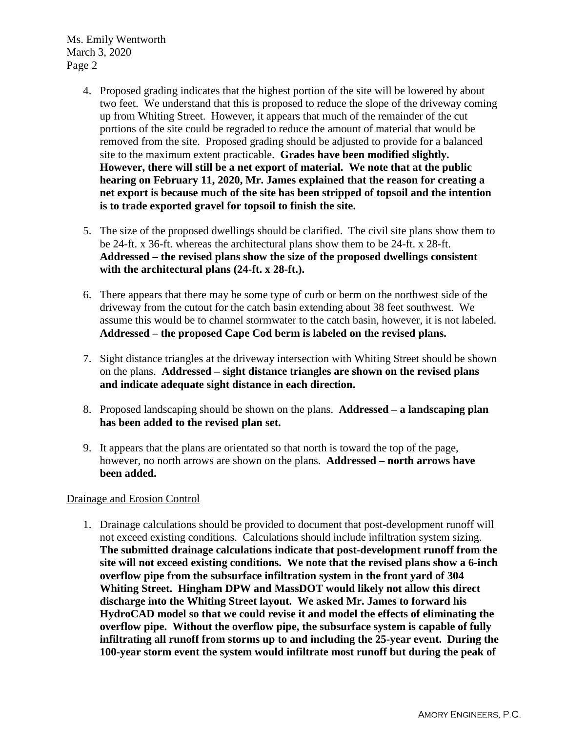Ms. Emily Wentworth March 3, 2020 Page 2

- 4. Proposed grading indicates that the highest portion of the site will be lowered by about two feet. We understand that this is proposed to reduce the slope of the driveway coming up from Whiting Street. However, it appears that much of the remainder of the cut portions of the site could be regraded to reduce the amount of material that would be removed from the site. Proposed grading should be adjusted to provide for a balanced site to the maximum extent practicable. **Grades have been modified slightly. However, there will still be a net export of material. We note that at the public hearing on February 11, 2020, Mr. James explained that the reason for creating a net export is because much of the site has been stripped of topsoil and the intention is to trade exported gravel for topsoil to finish the site.**
- 5. The size of the proposed dwellings should be clarified. The civil site plans show them to be 24-ft. x 36-ft. whereas the architectural plans show them to be 24-ft. x 28-ft. **Addressed – the revised plans show the size of the proposed dwellings consistent with the architectural plans (24-ft. x 28-ft.).**
- 6. There appears that there may be some type of curb or berm on the northwest side of the driveway from the cutout for the catch basin extending about 38 feet southwest. We assume this would be to channel stormwater to the catch basin, however, it is not labeled. **Addressed – the proposed Cape Cod berm is labeled on the revised plans.**
- 7. Sight distance triangles at the driveway intersection with Whiting Street should be shown on the plans. **Addressed – sight distance triangles are shown on the revised plans and indicate adequate sight distance in each direction.**
- 8. Proposed landscaping should be shown on the plans. **Addressed a landscaping plan has been added to the revised plan set.**
- 9. It appears that the plans are orientated so that north is toward the top of the page, however, no north arrows are shown on the plans. **Addressed – north arrows have been added.**

# Drainage and Erosion Control

1. Drainage calculations should be provided to document that post-development runoff will not exceed existing conditions. Calculations should include infiltration system sizing. **The submitted drainage calculations indicate that post-development runoff from the site will not exceed existing conditions. We note that the revised plans show a 6-inch overflow pipe from the subsurface infiltration system in the front yard of 304 Whiting Street. Hingham DPW and MassDOT would likely not allow this direct discharge into the Whiting Street layout. We asked Mr. James to forward his HydroCAD model so that we could revise it and model the effects of eliminating the overflow pipe. Without the overflow pipe, the subsurface system is capable of fully infiltrating all runoff from storms up to and including the 25-year event. During the 100-year storm event the system would infiltrate most runoff but during the peak of**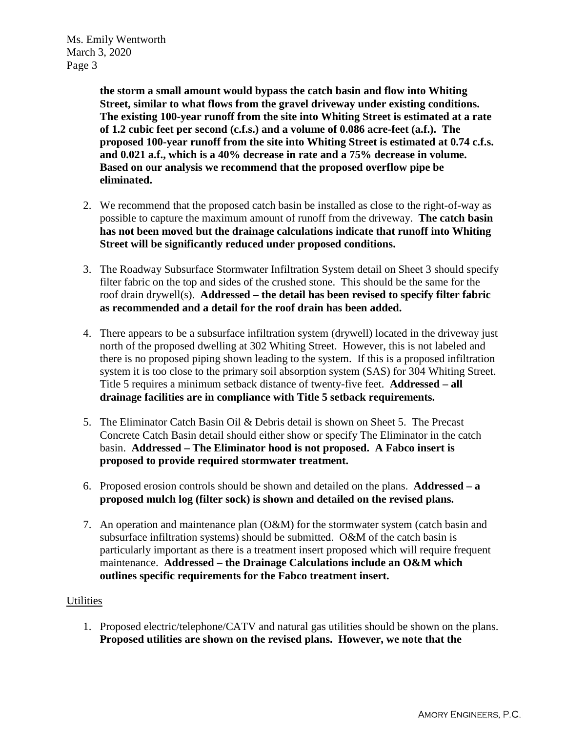Ms. Emily Wentworth March 3, 2020 Page 3

> **the storm a small amount would bypass the catch basin and flow into Whiting Street, similar to what flows from the gravel driveway under existing conditions. The existing 100-year runoff from the site into Whiting Street is estimated at a rate of 1.2 cubic feet per second (c.f.s.) and a volume of 0.086 acre-feet (a.f.). The proposed 100-year runoff from the site into Whiting Street is estimated at 0.74 c.f.s. and 0.021 a.f., which is a 40% decrease in rate and a 75% decrease in volume. Based on our analysis we recommend that the proposed overflow pipe be eliminated.**

- 2. We recommend that the proposed catch basin be installed as close to the right-of-way as possible to capture the maximum amount of runoff from the driveway. **The catch basin has not been moved but the drainage calculations indicate that runoff into Whiting Street will be significantly reduced under proposed conditions.**
- 3. The Roadway Subsurface Stormwater Infiltration System detail on Sheet 3 should specify filter fabric on the top and sides of the crushed stone. This should be the same for the roof drain drywell(s). **Addressed – the detail has been revised to specify filter fabric as recommended and a detail for the roof drain has been added.**
- 4. There appears to be a subsurface infiltration system (drywell) located in the driveway just north of the proposed dwelling at 302 Whiting Street. However, this is not labeled and there is no proposed piping shown leading to the system. If this is a proposed infiltration system it is too close to the primary soil absorption system (SAS) for 304 Whiting Street. Title 5 requires a minimum setback distance of twenty-five feet. **Addressed – all drainage facilities are in compliance with Title 5 setback requirements.**
- 5. The Eliminator Catch Basin Oil & Debris detail is shown on Sheet 5. The Precast Concrete Catch Basin detail should either show or specify The Eliminator in the catch basin. **Addressed – The Eliminator hood is not proposed. A Fabco insert is proposed to provide required stormwater treatment.**
- 6. Proposed erosion controls should be shown and detailed on the plans. **Addressed a proposed mulch log (filter sock) is shown and detailed on the revised plans.**
- 7. An operation and maintenance plan (O&M) for the stormwater system (catch basin and subsurface infiltration systems) should be submitted. O&M of the catch basin is particularly important as there is a treatment insert proposed which will require frequent maintenance. **Addressed – the Drainage Calculations include an O&M which outlines specific requirements for the Fabco treatment insert.**

# **Utilities**

1. Proposed electric/telephone/CATV and natural gas utilities should be shown on the plans. **Proposed utilities are shown on the revised plans. However, we note that the**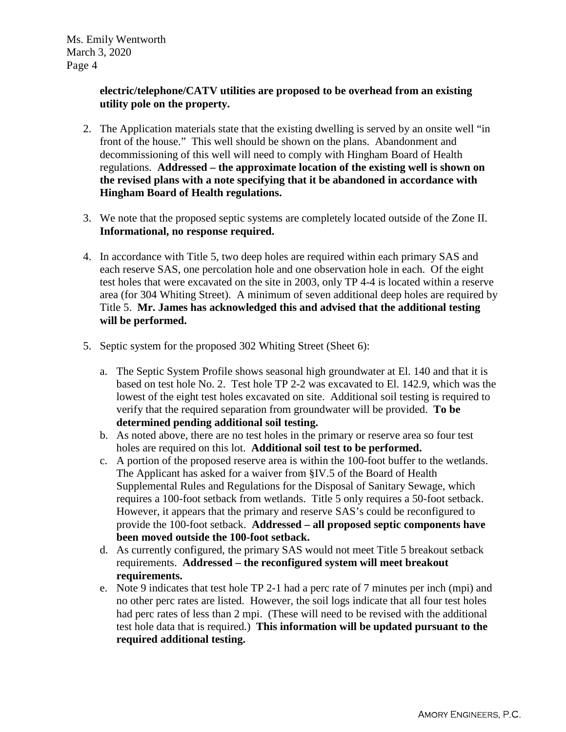# **electric/telephone/CATV utilities are proposed to be overhead from an existing utility pole on the property.**

- 2. The Application materials state that the existing dwelling is served by an onsite well "in front of the house." This well should be shown on the plans. Abandonment and decommissioning of this well will need to comply with Hingham Board of Health regulations. **Addressed – the approximate location of the existing well is shown on the revised plans with a note specifying that it be abandoned in accordance with Hingham Board of Health regulations.**
- 3. We note that the proposed septic systems are completely located outside of the Zone II. **Informational, no response required.**
- 4. In accordance with Title 5, two deep holes are required within each primary SAS and each reserve SAS, one percolation hole and one observation hole in each. Of the eight test holes that were excavated on the site in 2003, only TP 4-4 is located within a reserve area (for 304 Whiting Street). A minimum of seven additional deep holes are required by Title 5. **Mr. James has acknowledged this and advised that the additional testing will be performed.**
- 5. Septic system for the proposed 302 Whiting Street (Sheet 6):
	- a. The Septic System Profile shows seasonal high groundwater at El. 140 and that it is based on test hole No. 2. Test hole TP 2-2 was excavated to El. 142.9, which was the lowest of the eight test holes excavated on site. Additional soil testing is required to verify that the required separation from groundwater will be provided. **To be determined pending additional soil testing.**
	- b. As noted above, there are no test holes in the primary or reserve area so four test holes are required on this lot. **Additional soil test to be performed.**
	- c. A portion of the proposed reserve area is within the 100-foot buffer to the wetlands. The Applicant has asked for a waiver from §IV.5 of the Board of Health Supplemental Rules and Regulations for the Disposal of Sanitary Sewage, which requires a 100-foot setback from wetlands. Title 5 only requires a 50-foot setback. However, it appears that the primary and reserve SAS's could be reconfigured to provide the 100-foot setback. **Addressed – all proposed septic components have been moved outside the 100-foot setback.**
	- d. As currently configured, the primary SAS would not meet Title 5 breakout setback requirements. **Addressed – the reconfigured system will meet breakout requirements.**
	- e. Note 9 indicates that test hole TP 2-1 had a perc rate of 7 minutes per inch (mpi) and no other perc rates are listed. However, the soil logs indicate that all four test holes had perc rates of less than 2 mpi. (These will need to be revised with the additional test hole data that is required.) **This information will be updated pursuant to the required additional testing.**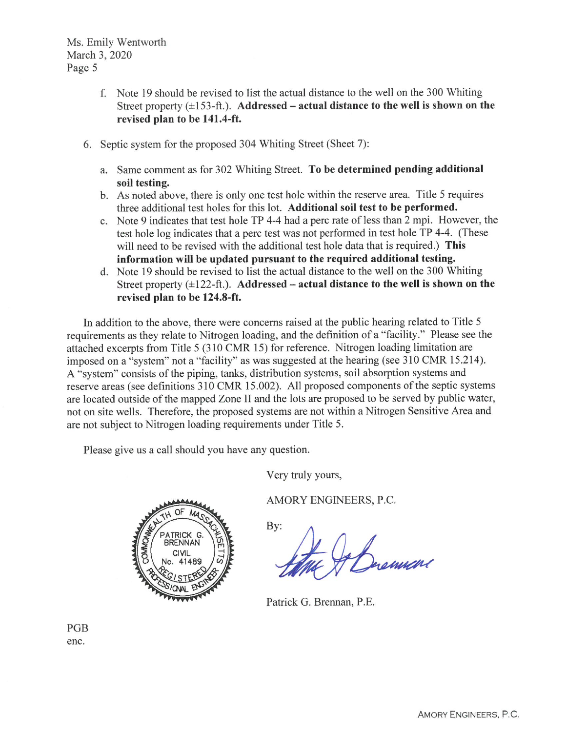Ms. Emily Wentworth March 3, 2020 Page 5

- f. Note 19 should be revised to list the actual distance to the well on the 300 Whiting Street property  $(\pm 153 - ft)$ . Addressed – actual distance to the well is shown on the revised plan to be 141.4-ft.
- 6. Septic system for the proposed 304 Whiting Street (Sheet 7):
	- a. Same comment as for 302 Whiting Street. To be determined pending additional soil testing.
	- b. As noted above, there is only one test hole within the reserve area. Title 5 requires three additional test holes for this lot. Additional soil test to be performed.
	- c. Note 9 indicates that test hole TP 4-4 had a perc rate of less than 2 mpi. However, the test hole log indicates that a perc test was not performed in test hole TP 4-4. (These will need to be revised with the additional test hole data that is required.) This information will be updated pursuant to the required additional testing.
	- d. Note 19 should be revised to list the actual distance to the well on the 300 Whiting Street property  $(\pm 122 - ft)$ . Addressed – actual distance to the well is shown on the revised plan to be 124.8-ft.

In addition to the above, there were concerns raised at the public hearing related to Title 5 requirements as they relate to Nitrogen loading, and the definition of a "facility." Please see the attached excerpts from Title 5 (310 CMR 15) for reference. Nitrogen loading limitation are imposed on a "system" not a "facility" as was suggested at the hearing (see 310 CMR 15.214). A "system" consists of the piping, tanks, distribution systems, soil absorption systems and reserve areas (see definitions 310 CMR 15.002). All proposed components of the septic systems are located outside of the mapped Zone II and the lots are proposed to be served by public water, not on site wells. Therefore, the proposed systems are not within a Nitrogen Sensitive Area and are not subject to Nitrogen loading requirements under Title 5.

Please give us a call should you have any question.

Very truly yours,

RRFNNAN

AMORY ENGINEERS, P.C.

 $By:$ 

Johnson

Patrick G. Brennan, P.E.

PGB enc.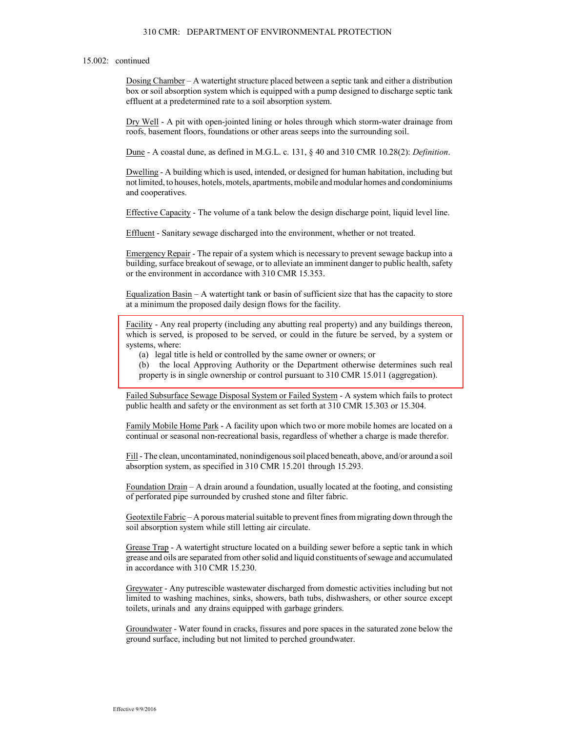#### 310 CMR: DEPARTMENT OF ENVIRONMENTAL PROTECTION

#### 15.002: continued

Dosing Chamber - A watertight structure placed between a septic tank and either a distribution box or soil absorption system which is equipped with a pump designed to discharge septic tank effluent at a predetermined rate to a soil absorption system.

Dry Well - A pit with open-jointed lining or holes through which storm-water drainage from roofs, basement floors, foundations or other areas seeps into the surrounding soil.

Dune - A coastal dune, as defined in M.G.L. c. 131, § 40 and 310 CMR 10.28(2): *Definition*.

Dwelling - A building which is used, intended, or designed for human habitation, including but not limited, to houses, hotels, motels, apartments, mobile and modular homes and condominiums and cooperatives.

Effective Capacity - The volume of a tank below the design discharge point, liquid level line.

Effluent - Sanitary sewage discharged into the environment, whether or not treated.

Emergency Repair - The repair of a system which is necessary to prevent sewage backup into a building, surface breakout of sewage, or to alleviate an imminent danger to public health, safety or the environment in accordance with 310 CMR 15.353.

Equalization Basin  $-A$  watertight tank or basin of sufficient size that has the capacity to store at a minimum the proposed daily design flows for the facility.

Facility - Any real property (including any abutting real property) and any buildings thereon, which is served, is proposed to be served, or could in the future be served, by a system or systems, where:

(a) legal title is held or controlled by the same owner or owners; or

(b) the local Approving Authority or the Department otherwise determines such real property is in single ownership or control pursuant to 310 CMR 15.011 (aggregation).

Failed Subsurface Sewage Disposal System or Failed System - A system which fails to protect public health and safety or the environment as set forth at 310 CMR 15.303 or 15.304.

Family Mobile Home Park - A facility upon which two or more mobile homes are located on a continual or seasonal non-recreational basis, regardless of whether a charge is made therefor.

Fill - The clean, uncontaminated, nonindigenous soil placed beneath, above, and/or around a soil absorption system, as specified in 310 CMR 15.201 through 15.293.

Foundation Drain  $- A$  drain around a foundation, usually located at the footing, and consisting of perforated pipe surrounded by crushed stone and filter fabric.

Geotextile Fabric  $-A$  porous material suitable to prevent fines from migrating down through the soil absorption system while still letting air circulate.

Grease Trap - A watertight structure located on a building sewer before a septic tank in which grease and oils are separated from other solid and liquid constituents of sewage and accumulated in accordance with 310 CMR 15.230.

Greywater - Any putrescible wastewater discharged from domestic activities including but not limited to washing machines, sinks, showers, bath tubs, dishwashers, or other source except toilets, urinals and any drains equipped with garbage grinders.

Groundwater - Water found in cracks, fissures and pore spaces in the saturated zone below the ground surface, including but not limited to perched groundwater.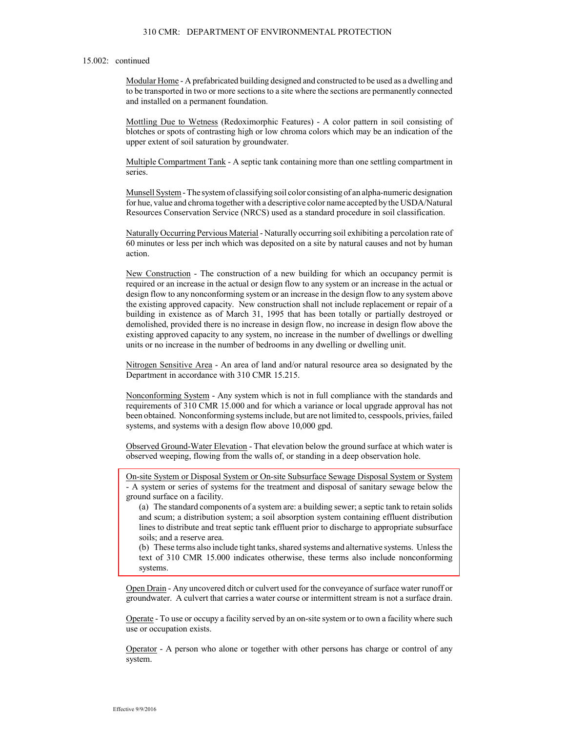### 15.002: continued

Modular Home - A prefabricated building designed and constructed to be used as a dwelling and to be transported in two or more sections to a site where the sections are permanently connected and installed on a permanent foundation.

Mottling Due to Wetness (Redoximorphic Features) - A color pattern in soil consisting of blotches or spots of contrasting high or low chroma colors which may be an indication of the upper extent of soil saturation by groundwater.

Multiple Compartment Tank - A septic tank containing more than one settling compartment in series.

Munsell System - The system of classifying soil color consisting of an alpha-numeric designation for hue, value and chroma together with a descriptive color name accepted by the USDA/Natural Resources Conservation Service (NRCS) used as a standard procedure in soil classification.

Naturally Occurring Pervious Material - Naturally occurring soil exhibiting a percolation rate of 60 minutes or less per inch which was deposited on a site by natural causes and not by human action.

New Construction - The construction of a new building for which an occupancy permit is required or an increase in the actual or design flow to any system or an increase in the actual or design flow to any nonconforming system or an increase in the design flow to any system above the existing approved capacity. New construction shall not include replacement or repair of a building in existence as of March 31, 1995 that has been totally or partially destroyed or demolished, provided there is no increase in design flow, no increase in design flow above the existing approved capacity to any system, no increase in the number of dwellings or dwelling units or no increase in the number of bedrooms in any dwelling or dwelling unit.

Nitrogen Sensitive Area - An area of land and/or natural resource area so designated by the Department in accordance with 310 CMR 15.215.

Nonconforming System - Any system which is not in full compliance with the standards and requirements of 310 CMR 15.000 and for which a variance or local upgrade approval has not been obtained. Nonconforming systems include, but are not limited to, cesspools, privies, failed systems, and systems with a design flow above 10,000 gpd.

Observed Ground-Water Elevation - That elevation below the ground surface at which water is observed weeping, flowing from the walls of, or standing in a deep observation hole.

On-site System or Disposal System or On-site Subsurface Sewage Disposal System or System - A system or series of systems for the treatment and disposal of sanitary sewage below the ground surface on a facility.

(a) The standard components of a system are: a building sewer; a septic tank to retain solids and scum; a distribution system; a soil absorption system containing effluent distribution lines to distribute and treat septic tank effluent prior to discharge to appropriate subsurface soils; and a reserve area.

(b) These terms also include tight tanks, shared systems and alternative systems. Unless the text of 310 CMR 15.000 indicates otherwise, these terms also include nonconforming systems.

Open Drain - Any uncovered ditch or culvert used for the conveyance of surface water runoff or groundwater. A culvert that carries a water course or intermittent stream is not a surface drain.

Operate - To use or occupy a facility served by an on-site system or to own a facility where such use or occupation exists.

Operator - A person who alone or together with other persons has charge or control of any system.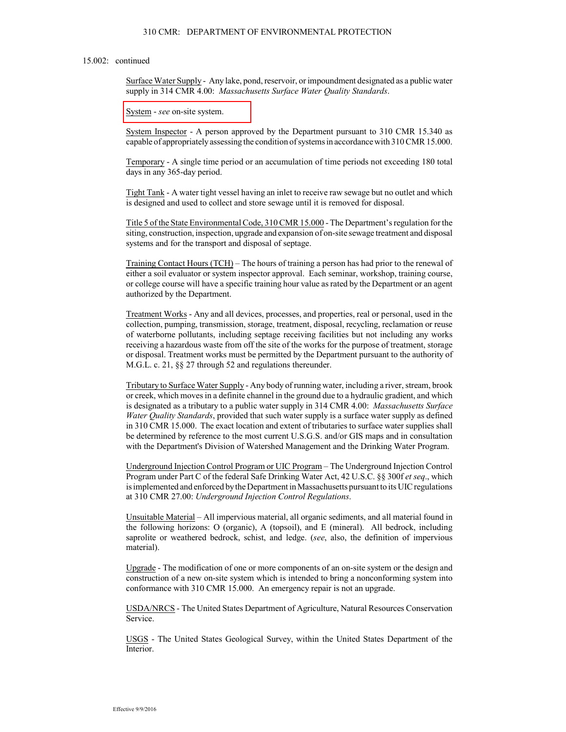#### 310 CMR: DEPARTMENT OF ENVIRONMENTAL PROTECTION

#### 15.002: continued

Surface Water Supply - Any lake, pond, reservoir, or impoundment designated as a public water supply in 314 CMR 4.00: Massachusetts Surface Water Quality Standards.

System - see on-site system.

System Inspector - A person approved by the Department pursuant to 310 CMR 15.340 as capable of appropriately assessing the condition of systems in accordance with  $310$  CMR  $15.000$ .

Temporary - A single time period or an accumulation of time periods not exceeding 180 total days in any 365-day period.

Tight Tank - A water tight vessel having an inlet to receive raw sewage but no outlet and which is designed and used to collect and store sewage until it is removed for disposal.

Title 5 of the State Environmental Code, 310 CMR 15.000 - The Department's regulation for the siting, construction, inspection, upgrade and expansion of on-site sewage treatment and disposal systems and for the transport and disposal of septage.

Training Contact Hours (TCH) – The hours of training a person has had prior to the renewal of either a soil evaluator or system inspector approval. Each seminar, workshop, training course, gr college course will have a specific training hour value as rated by the Department or an agent authorized by the Department.

Treatment Works - Any and all devices, processes, and properties, real or personal, used in the collection, pumping, transmission, storage, treatment, disposal, recycling, reclamation or reuse of waterborne pollutants, including septage receiving facilities but not including any works receiving a hazardous waste from off the site of the works for the purpose of treatment, storage gi or disposal. Treatment works must be permitted by the Department pursuant to the authority of M.G.L. c. 21,  $\S$  27 through 52 and regulations thereunder.

Tributary to Surface Water Supply - Any body of running water, including a river, stream, brook get or creek, which moves in a definite channel in the ground due to a hydraulic gradient, and which is designated as a tributary to a public water supply in 314 CMR 4.00: *Massachusetts Surface* Water Quality Standards, provided that such water supply is a surface water supply as defined in 310 CMR 15.000. The exact location and extent of tributaries to surface water supplies shall be determined by reference to the most current U.S.G.S. and/or GIS maps and in consultation with the Department's Division of Watershed Management and the Drinking Water Program.

Underground Injection Control Program or UIC Program – The Underground Injection Control Program under Part C of the federal Safe Drinking Water Act, 42 U.S.C. §§ 300f et seq., which is implemented and enforced by the Department in Massachusetts pursuant to its UIC regulations at 310 CMR 27.00: Underground Injection Control Regulations.

Unsuitable Material – All impervious material, all organic sediments, and all material found in the following horizons: O (organic), A (topsoil), and E (mineral). All bedrock, including saprolite or weathered bedrock, schist, and ledge. (see, also, the definition of impervious material).

Upgrade - The modification of one or more components of an on-site system or the design and construction of a new on-site system which is intended to bring a nonconforming system into conformance with 310 CMR 15.000. An emergency repair is not an upgrade.

USDA/NRCS - The United States Department of Agriculture, Natural Resources Conservation Service.

USGS - The United States Geological Survey, within the United States Department of the Interior.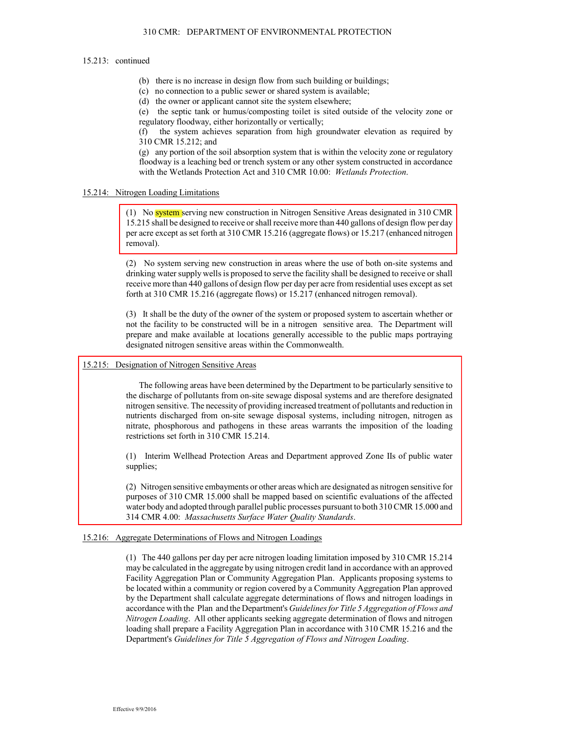#### 15.213: continued

- (b) there is no increase in design flow from such building or buildings;
- (c) no connection to a public sewer or shared system is available;
- (d) the owner or applicant cannot site the system elsewhere;

(e) the septic tank or humus/composting toilet is sited outside of the velocity zone or regulatory floodway, either horizontally or vertically;

 $(f)$  the system achieves separation from high groundwater elevation as required by 310 CMR 15.212; and

 $(g)$  any portion of the soil absorption system that is within the velocity zone or regulatory floodway is a leaching bed or trench system or any other system constructed in accordance with the Wetlands Protection Act and 310 CMR 10.00: Wetlands Protection.

### 15.214: Nitrogen Loading Limitations

(1) No system serving new construction in Nitrogen Sensitive Areas designated in 310 CMR 15.215 shall be designed to receive or shall receive more than 440 gallons of design flow per day per acre except as set forth at 310 CMR 15.216 (aggregate flows) or 15.217 (enhanced nitrogen removal).

 $(2)$  No system serving new construction in areas where the use of both on-site systems and drinking water supply wells is proposed to serve the facility shall be designed to receive or shall receive more than 440 gallons of design flow per day per acre from residential uses except as set forth at 310 CMR 15.216 (aggregate flows) or 15.217 (enhanced nitrogen removal).

(3) It shall be the duty of the owner of the system or proposed system to ascertain whether or find the facility to be constructed will be in a nitrogen sensitive area. The Department will prepare and make available at locations generally accessible to the public maps portraying designated nitrogen sensitive areas within the Commonwealth.

### 15.215: Designation of Nitrogen Sensitive Areas

The following areas have been determined by the Department to be particularly sensitive to the discharge of pollutants from on-site sewage disposal systems and are therefore designated half introgen sensitive. The necessity of providing increased treatment of pollutants and reduction in nutrients discharged from on-site sewage disposal systems, including nitrogen, nitrogen as holy higher phosphorous and pathogens in these areas warrants the imposition of the loading restrictions set forth in 310 CMR 15.214.

(1) Interim Wellhead Protection Areas and Department approved Zone IIs of public water supplies;

(2) Nitrogen sensitive embayments or other areas which are designated as nitrogen sensitive for purposes of 310 CMR 15.000 shall be mapped based on scientific evaluations of the affected water body and adopted through parallel public processes pursuant to both 310 CMR 15.000 and 314 CMR 4.00: Massachusetts Surface Water Quality Standards.

### 15.216: Aggregate Determinations of Flows and Nitrogen Loadings

(1) The 440 gallons per day per acre nitrogen loading limitation imposed by 310 CMR 15.214 may be calculated in the aggregate by using nitrogen credit land in accordance with an approved Facility Aggregation Plan or Community Aggregation Plan. Applicants proposing systems to be located within a community or region covered by a Community Aggregation Plan approved by the Department shall calculate aggregate determinations of flows and nitrogen loadings in accordance with the Plan and the Department's Guidelines for Title 5 Aggregation of Flows and Nitrogen Loading. All other applicants seeking aggregate determination of flows and nitrogen loading shall prepare a Facility Aggregation Plan in accordance with 310 CMR 15.216 and the Department's Guidelines for Title 5 Aggregation of Flows and Nitrogen Loading.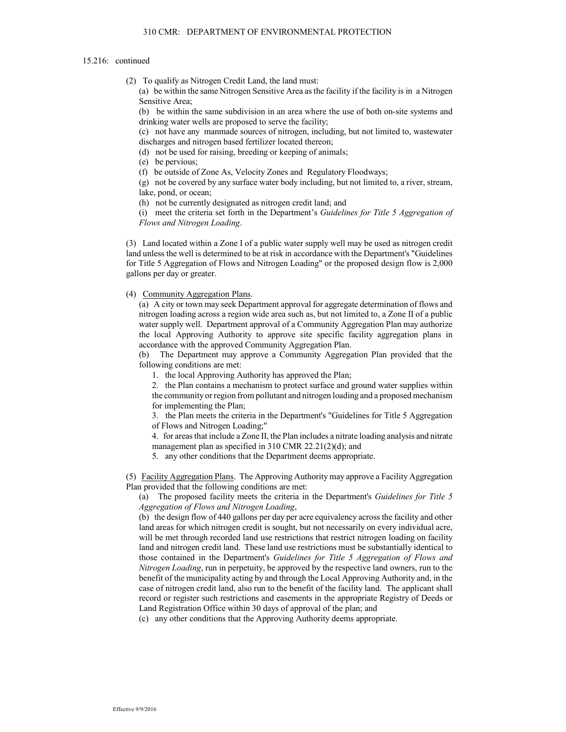#### 15.216: continued

(2) To qualify as Nitrogen Credit Land, the land must:

(a) be within the same Nitrogen Sensitive Area as the facility if the facility is in a Nitrogen Sensitive Area;

(b) be within the same subdivision in an area where the use of both on-site systems and drinking water wells are proposed to serve the facility;

(c) not have any manmade sources of nitrogen, including, but not limited to, was tewater discharges and nitrogen based fertilizer located thereon;

(d) not be used for raising, breeding or keeping of animals;

(e) be pervious;

(f) be outside of Zone As, Velocity Zones and Regulatory Floodways;

(g) not be covered by any surface water body including, but not limited to, a river, stream, lake, pond, or ocean;

(h) not be currently designated as nitrogen credit land; and

(i) meet the criteria set forth in the Department's Guidelines for Title 5 Aggregation of Flows and Nitrogen Loading.

(3) Land located within a Zone I of a public water supply well may be used as nitrogen credit land unless the well is determined to be at risk in accordance with the Department's "Guidelines" for Title 5 Aggregation of Flows and Nitrogen Loading" or the proposed design flow is 2,000 gallons per day or greater.

### (4) Community Aggregation Plans.

(a) A city or town may seek Department approval for aggregate determination of flows and nitrogen loading across a region wide area such as, but not limited to, a Zone II of a public water supply well. Department approval of a Community Aggregation Plan may authorize the local Approving Authority to approve site specific facility aggregation plans in accordance with the approved Community Aggregation Plan.

The Department may approve a Community Aggregation Plan provided that the (b) following conditions are met:

1. the local Approving Authority has approved the Plan;

2. the Plan contains a mechanism to protect surface and ground water supplies within the community or region from pollutant and nitrogen loading and a proposed mechanism for implementing the Plan;

3. the Plan meets the criteria in the Department's "Guidelines for Title 5 Aggregation of Flows and Nitrogen Loading;"

4. for areas that include a Zone II, the Plan includes a nitrate loading analysis and nitrate management plan as specified in  $310$  CMR  $22.21(2)(d)$ ; and

5. any other conditions that the Department deems appropriate.

(5) Facility Aggregation Plans. The Approving Authority may approve a Facility Aggregation Plan provided that the following conditions are met:

(a) The proposed facility meets the criteria in the Department's Guidelines for Title 5 Aggregation of Flows and Nitrogen Loading,

(b) the design flow of 440 gallons per day per acre equivalency across the facility and other land areas for which nitrogen credit is sought, but not necessarily on every individual acre, will be met through recorded land use restrictions that restrict nitrogen loading on facility land and nitrogen credit land. These land use restrictions must be substantially identical to those contained in the Department's Guidelines for Title 5 Aggregation of Flows and Nitrogen Loading, run in perpetuity, be approved by the respective land owners, run to the benefit of the municipality acting by and through the Local Approving Authority and, in the case of nitrogen credit land, also run to the benefit of the facility land. The applicant shall record or register such restrictions and easements in the appropriate Registry of Deeds or Land Registration Office within 30 days of approval of the plan; and

(c) any other conditions that the Approving Authority deems appropriate.